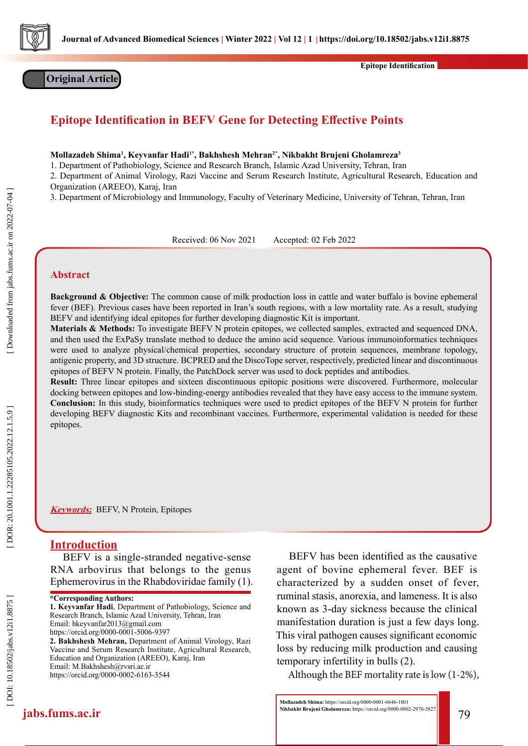

**Original Article**

**Epitope Identification**

# **Epitope Identification in BEFV Gene for Detecting Effective Points**

**Mollazadeh Shima 1 , Keyvanfar Hadi1\*, Bakhshesh Mehran2\*, Nikbakht Brujeni Gholamreza 3**

1. Department of Pathobiology, Science and Research Branch, Islamic Azad University, Tehran, Iran

2. Department of Animal Virology, Razi Vaccine and Serum Research Institute, Agricultural Research, Education and

Organization (AREEO), Karaj, Iran

3. Department of Microbiology and Immunology, Faculty of Veterinary Medicine, University of Tehran, Tehran, Iran

Received: 06 Nov 2021 Accepted: 02 Feb 2022

## **Abstract**

Downloaded from jabs.fums.ac.ir on 2022-07-04

**Background & Objective:** The common cause of milk production loss in cattle and water buffalo is bovine ephemeral fever (BEF). Previous cases have been reported in Iran's south regions, with a low mortality rate. As a result, studying BEFV and identifying ideal epitopes for further developing diagnostic Kit is important.

**Materials & Methods:** To investigate BEFV N protein epitopes, we collected samples, extracted and sequenced DNA, and then used the ExPaSy translate method to deduce the amino acid sequence. Various immunoinformatics techniques were used to analyze physical/chemical properties, secondary structure of protein sequences, membrane topology, antigenic property, and 3D structure. BCPRED and the DiscoTope server, respectively, predicted linear and discontinuous epitopes of BEFV N protein. Finally, the PatchDock server was used to dock peptides and antibodies.

**Result:** Three linear epitopes and sixteen discontinuous epitopic positions were discovered. Furthermore, molecular docking between epitopes and low-binding-energy antibodies revealed that they have easy access to the immune system. **Conclusion:** In this study, bioinformatics techniques were used to predict epitopes of the BEFV N protein for further developing BEFV diagnostic Kits and recombinant vaccines. Furthermore, experimental validation is needed for these epitopes.

**Keywords:** BEFV, N Protein, Epitopes

## **Introduction**

BEFV is a single-stranded negative-sense RNA arbovirus that belongs to the genus Ephemerovirus in the Rhabdoviridae family (1).

**1. Keyvanfar Hadi**, Department of Pathobiology, Science and Research Branch, Islamic Azad University, Tehran, Iran Email: hkeyvanfar2013@gmail.com https://orcid.org/0000-0001-5006-9397

**2. Bakhshesh Mehran,** Department of Animal Virology, Razi Vaccine and Serum Research Institute, Agricultural Research, Education and Organization (AREEO), Karaj, Iran Email: M.Bakhshesh@rvsri.ac.ir https://orcid.org/0000-0002-6163-3544

BEFV has been identified as the causative agent of bovine ephemeral fever. BEF is characterized by a sudden onset of fever, ruminal stasis, anorexia, and lameness. It is also known as 3-day sickness because the clinical manifestation duration is just a few days long. This viral pathogen causes significant economic loss by reducing milk production and causing temporary infertility in bulls (2).

Although the BEF mortality rate is low (1-2%),

**<sup>\*</sup>Corresponding Authors:**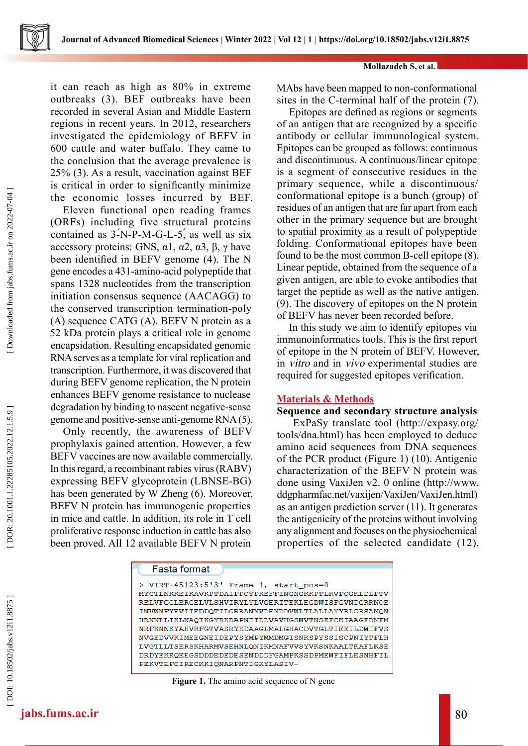

**Mollazadeh S, et al.**

it can reach as high as 80% in extreme outbreaks (3). BEF outbreaks have been recorded in several Asian and Middle Eastern regions in recent years. In 2012, researchers investigated the epidemiology of BEFV in 600 cattle and water buffalo. They came to the conclusion that the average prevalence is 25% (3). As a result, vaccination against BEF is critical in order to significantly minimize the economic losses incurred by BEF.

Eleven functional open reading frames (ORFs) including five structural proteins contained as  $3-N-P-M-G-L-5$ , as well as six accessory proteins: GNS,  $\alpha$ 1,  $\alpha$ 2,  $\alpha$ 3, β, γ have been identified in BEFV genome (4). The N gene encodes a 431-amino-acid polypeptide that spans 1328 nucleotides from the transcription initiation consensus sequence (AACAGG) to the conserved transcription termination-poly (A) sequence CATG (A). BEFV N protein as a 52 kDa protein plays a critical role in genome encapsidation. Resulting encapsidated genomic RNA serves as a template for viral replication and transcription. Furthermore, it was discovered that during BEFV genome replication, the N protein enhances BEFV genome resistance to nuclease degradation by binding to nascent negative-sense genome and positive-sense anti-genome RNA (5). contained as 3-N-P-M-G-L-5, as well as six<br>accessory proteins: GNS,  $\alpha$ 1,  $\alpha$ 2,  $\alpha$ 3,  $\beta$ ,  $\gamma$  have<br>been identified in BEFV genome (4). The N<br>gene encodes a 431-amino-acid polypeptide that<br>spans 1328 nucletoides from

Only recently, the awareness of BEFV prophylaxis gained attention. However, a few BEFV vaccines are now available commercially. In this regard, a recombinant rabies virus (RABV) expressing BEFV glycoprotein (LBNSE-BG) has been generated by W Zheng (6). Moreover, BEFV N protein has immunogenic properties in mice and cattle. In addition, its role in T cell proliferative response induction in cattle has also

MAbs have been mapped to non-conformational sites in the C-terminal half of the protein (7).

Epitopes are defined as regions or segments of an antigen that are recognized by a specific antibody or cellular immunological system. Epitopes can be grouped as follows: continuous and discontinuous. A continuous/linear epitope is a segment of consecutive residues in the primary sequence, while a discontinuous/ conformational epitope is a bunch (group) of residues of an antigen that are far apart from each other in the primary sequence but are brought to spatial proximity as a result of polypeptide folding. Conformational epitopes have been found to be the most common B-cell epitope (8). Linear peptide, obtained from the sequence of a given antigen, are able to evoke antibodies that target the peptide as well as the native antigen. (9). The discovery of epitopes on the N protein of BEFV has never been recorded before.

In this study we aim to identify epitopes via immunoinformatics tools. This is the first report of epitope in the N protein of BEFV. However, in vitro and in vivo experimental studies are required for suggested epitopes verification.

## **Materials & Methods**

## **Sequence and secondary structure analysis**

 ExPaSy translate tool (http://expasy.org/ tools/dna.html) has been employed to deduce amino acid sequences from DNA sequences of the PCR product (Figure 1) (10). Antigenic characterization of the BEFV N protein was done using VaxiJen v2. 0 online (http://www. ddgpharmfac.net/vaxijen/VaxiJen/VaxiJen.html) as an antigen prediction server (11). It generates the antigenicity of the proteins without involving any alignment and focuses on the physiochemical properties of the selected candidate (12).

```
Fasta format
 VIRT-45123:5'3' Frame 1, start pos=0
MYCTLNKKEIKAVKPTDAIPPQYPKEFFINGNGKKPTLRVPQGKLDLPTV
RELVFGGLERGELVLSHVIRYLYLVGERITEKLEGDWISFGVNIGRRNQE
INVWNFYEVIIEDDQTIDGRRANNVDENDDVWLTLALLAYYRLGRSANQN
HRNNLLIKLNAQIKGYRKDAPNIIDDVAVHGSWVTNSEFCKIAAGFDMFM
NRFKNNKYAHVRFGTVASRYKDAAGLMALGHACDVTGLTIEEILDWIFVS
NVGEDVVKIMEEGNEIDEPYSYMPYMMDMGISNKSPYSSISCPNIYTFLH
LVGTLLTSERSKHARMVSEHNLQNIKMNAFVVSYVKSNKAALTKAFLKSE
DRDYEKRQEEGSDDDEDEDESENDDDFGAMPKSSDPMEWFIFLESNHFIL
PEKVTEFCIRECKKIQNARPNTIGKYLASIV-
```
**Figure 1.** The amino acid sequence of N gene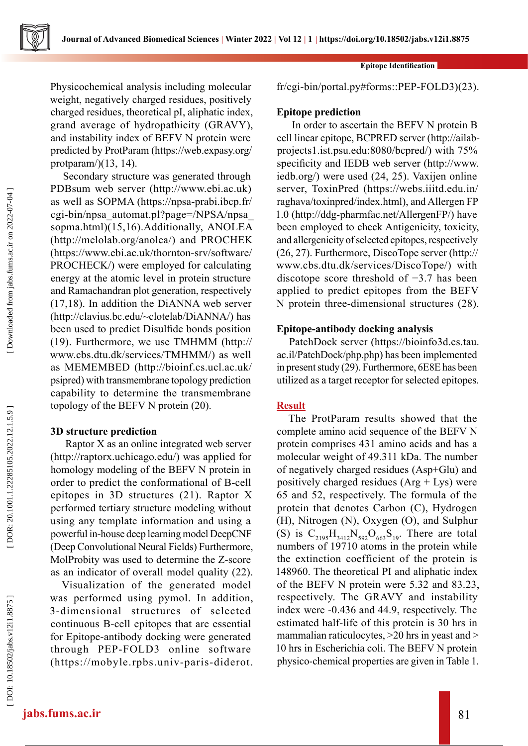Physicochemical analysis including molecular weight, negatively charged residues, positively charged residues, theoretical pI, aliphatic index, grand average of hydropathicity (GRAVY), and instability index of BEFV N protein were predicted by ProtParam (https://web.expasy.org/ protparam/ $)(13, 14)$ .

Secondary structure was generated through PDBsum web server (http://www.ebi.ac.uk) as well as SOPMA (https://npsa-prabi.ibcp.fr/ cgi-bin/npsa\_automat.pl?page=/NPSA/npsa\_ sopma.html)(15,16).Additionally, ANOLEA (http://melolab.org/anolea/) and PROCHEK (https://www.ebi.ac.uk/thornton-srv/software/ PROCHECK/) were employed for calculating energy at the atomic level in protein structure and Ramachandran plot generation, respectively (17,18). In addition the DiANNA web server (http://clavius.bc.edu/~clotelab/DiANNA/) has been used to predict Disulfide bonds position (19). Furthermore, we use TMHMM (http:// www.cbs.dtu.dk/services/TMHMM/) as well as MEMEMBED (http://bioinf.cs.ucl.ac.uk/ psipred) with transmembrane topology prediction capability to determine the transmembrane topology of the BEFV N protein (20).

## **3D structure prediction**

 Raptor X as an online integrated web server (http://raptorx.uchicago.edu/) was applied for homology modeling of the BEFV N protein in order to predict the conformational of B-cell epitopes in 3D structures (21). Raptor X performed tertiary structure modeling without using any template information and using a powerful in-house deep learning model DeepCNF (Deep Convolutional Neural Fields) Furthermore, MolProbity was used to determine the Z-score as an indicator of overall model quality (22).

Visualization of the generated model was performed using pymol. In addition, 3-dimensional structures of selected continuous B-cell epitopes that are essential for Epitope-antibody docking were generated through PEP-FOLD3 online software (https://mobyle.rpbs.univ-paris-diderot.

#### **Epitope Identification**

fr/cgi-bin/portal.py#forms::PEP-FOLD3)(23).

## **Epitope prediction**

 In order to ascertain the BEFV N protein B cell linear epitope, BCPRED server (http://ailabprojects1.ist.psu.edu:8080/bcpred/) with 75% specificity and IEDB web server (http://www. iedb.org/) were used (24, 25). Vaxijen online server, ToxinPred (https://webs.iiitd.edu.in/ raghava/toxinpred/index.html), and Allergen FP 1.0 (http://ddg-pharmfac.net/AllergenFP/) have been employed to check Antigenicity, toxicity, and allergenicity of selected epitopes, respectively (26, 27). Furthermore, DiscoTope server (http:// www.cbs.dtu.dk/services/DiscoTope/) with discotope score threshold of −3.7 has been applied to predict epitopes from the BEFV N protein three-dimensional structures (28).

## **Epitope-antibody docking analysis**

PatchDock server (https://bioinfo3d.cs.tau. ac.il/PatchDock/php.php) has been implemented in present study (29). Furthermore, 6E8E has been utilized as a target receptor for selected epitopes.

## **Result**

The ProtParam results showed that the complete amino acid sequence of the BEFV N protein comprises 431 amino acids and has a molecular weight of 49.311 kDa. The number of negatively charged residues (Asp+Glu) and positively charged residues  $(Arg + Lys)$  were 65 and 52, respectively. The formula of the protein that denotes Carbon (C), Hydrogen (H), Nitrogen (N), Oxygen (O), and Sulphur (S) is  $C_{2195}H_{3412}N_{592}O_{663}S_{19}$ . There are total numbers of 19710 atoms in the protein while the extinction coefficient of the protein is 148960. The theoretical PI and aliphatic index of the BEFV N protein were 5.32 and 83.23, respectively. The GRAVY and instability index were -0.436 and 44.9, respectively. The estimated half-life of this protein is 30 hrs in mammalian raticulocytes,  $>20$  hrs in yeast and  $>$ 10 hrs in Escherichia coli. The BEFV N protein physico-chemical properties are given in Table 1.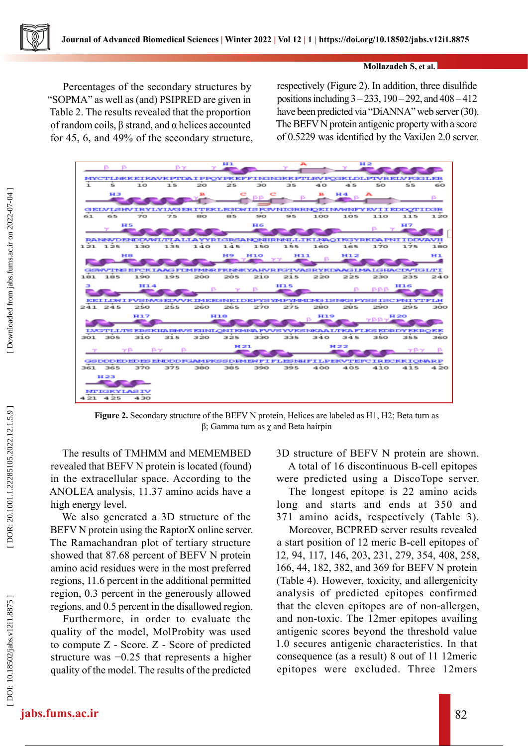## **Mollazadeh S, et al.**

Percentages of the secondary structures by "SOPMA" as well as (and) PSIPRED are given in Table 2. The results revealed that the proportion of random coils, β strand, and α helices accounted for 45, 6, and 49% of the secondary structure, respectively (Figure 2). In addition, three disulfide positions including 3 – 233, 190 – 292, and 408 – 412 have been predicted via "DiANNA" web server (30). The BEFV N protein antigenic property with a score of 0.5229 was identified by the VaxiJen 2.0 server.



**Figure 2.** Secondary structure of the BEFV N protein, Helices are labeled as H1, H2; Beta turn as β; Gamma turn as χ and Beta hairpin

The results of TMHMM and MEMEMBED revealed that BEFV N protein is located (found) in the extracellular space. According to the ANOLEA analysis, 11.37 amino acids have a high energy level.

We also generated a 3D structure of the BEFV N protein using the RaptorX online server. The Ramachandran plot of tertiary structure showed that 87.68 percent of BEFV N protein amino acid residues were in the most preferred regions, 11.6 percent in the additional permitted region, 0.3 percent in the generously allowed regions, and 0.5 percent in the disallowed region.

Furthermore, in order to evaluate the quality of the model, MolProbity was used to compute Z - Score. Z - Score of predicted structure was −0.25 that represents a higher quality of the model. The results of the predicted 3D structure of BEFV N protein are shown. A total of 16 discontinuous B-cell epitopes were predicted using a DiscoTope server.

The longest epitope is 22 amino acids long and starts and ends at 350 and 371 amino acids, respectively (Table 3).

Moreover, BCPRED server results revealed a start position of 12 meric B-cell epitopes of 12, 94, 117, 146, 203, 231, 279, 354, 408, 258, 166, 44, 182, 382, and 369 for BEFV N protein (Table 4). However, toxicity, and allergenicity analysis of predicted epitopes confirmed that the eleven epitopes are of non-allergen, and non-toxic. The 12mer epitopes availing antigenic scores beyond the threshold value 1.0 secures antigenic characteristics. In that consequence (as a result) 8 out of 11 12meric epitopes were excluded. Three 12mers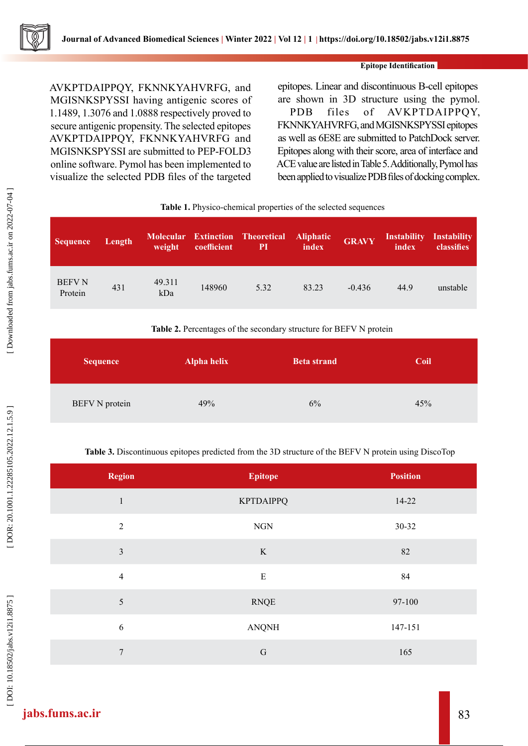

#### **Epitope Identification**

AVKPTDAIPPQY, FKNNKYAHVRFG, and MGISNKSPYSSI having antigenic scores of 1.1489, 1.3076 and 1.0888 respectively proved to secure antigenic propensity. The selected epitopes AVKPTDAIPPQY, FKNNKYAHVRFG and MGISNKSPYSSI are submitted to PEP-FOLD3 online software. Pymol has been implemented to visualize the selected PDB files of the targeted

epitopes. Linear and discontinuous B-cell epitopes are shown in 3D structure using the pymol. PDB files of AVKPTDAIPPQY, FKNNKYAHVRFG, and MGISNKSPYSSI epitopes as well as 6E8E are submitted to PatchDock server. Epitopes along with their score, area of interface and ACE value are listed in Table 5. Additionally, Pymol has been applied to visualize PDB files of docking complex.

|                          | Tuble 1, 1 h joied enemied properties of the selected sequences |               |             |                                                      |                           |              |                             |                           |
|--------------------------|-----------------------------------------------------------------|---------------|-------------|------------------------------------------------------|---------------------------|--------------|-----------------------------|---------------------------|
| <b>Sequence</b>          | Length                                                          | weight        | coefficient | <b>Molecular Extinction Theoretical</b><br><b>PI</b> | <b>Aliphatic</b><br>index | <b>GRAVY</b> | <b>Instability</b><br>index | Instability<br>classifies |
| <b>BEFV N</b><br>Protein | 431                                                             | 49.311<br>kDa | 148960      | 5.32                                                 | 83.23                     | $-0.436$     | 44.9                        | unstable                  |

# Table 1. Physico-chemical properties of the selected sequences

#### **Table 2.** Percentages of the secondary structure for BEFV N protein

| <b>Sequence</b>       | <b>Alpha helix</b> | <b>Beta strand</b> | Coil |
|-----------------------|--------------------|--------------------|------|
| <b>BEFV N</b> protein | 49%                | 6%                 | 45%  |

## **Table 3.** Discontinuous epitopes predicted from the 3D structure of the BEFV N protein using DiscoTop

| <b>Region</b>  | <b>Epitope</b>   | <b>Position</b> |
|----------------|------------------|-----------------|
| $\mathbf{1}$   | <b>KPTDAIPPQ</b> | $14-22$         |
| $\sqrt{2}$     | <b>NGN</b>       | 30-32           |
| $\mathfrak{Z}$ | K                | 82              |
| $\overline{4}$ | ${\bf E}$        | 84              |
| 5              | <b>RNQE</b>      | 97-100          |
| $\sqrt{6}$     | <b>ANQNH</b>     | 147-151         |
| 7              | $\mathbf G$      | 165             |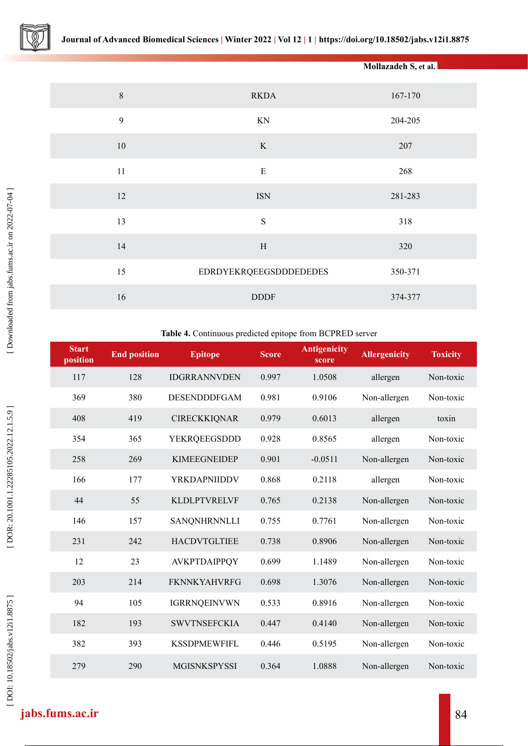|                  |                               | Mollazadeh S, et al. |
|------------------|-------------------------------|----------------------|
| $\,8\,$          | <b>RKDA</b>                   | 167-170              |
| $\boldsymbol{9}$ | KN                            | 204-205              |
| $10\,$           | $\rm K$                       | 207                  |
| $11\,$           | ${\bf E}$                     | 268                  |
| 12               | <b>ISN</b>                    | 281-283              |
| 13               | $\mathbf S$                   | 318                  |
| 14               | $\, {\rm H}$                  | 320                  |
| 15               | <b>EDRDYEKRQEEGSDDDEDEDES</b> | 350-371              |
| 16               | <b>DDDF</b>                   | 374-377              |

#### **Table 4.** Continuous predicted epitope from BCPRED server

| <b>Start</b><br>position | <b>End position</b> | <b>Epitope</b>      | Score | <b>Antigenicity</b><br>score | <b>Allergenicity</b> | <b>Toxicity</b> |
|--------------------------|---------------------|---------------------|-------|------------------------------|----------------------|-----------------|
| 117                      | 128                 | <b>IDGRRANNVDEN</b> | 0.997 | 1.0508                       | allergen             | Non-toxic       |
| 369                      | 380                 | <b>DESENDDDFGAM</b> | 0.981 | 0.9106                       | Non-allergen         | Non-toxic       |
| 408                      | 419                 | <b>CIRECKKIQNAR</b> | 0.979 | 0.6013                       | allergen             | toxin           |
| 354                      | 365                 | YEKRQEEGSDDD        | 0.928 | 0.8565                       | allergen             | Non-toxic       |
| 258                      | 269                 | <b>KIMEEGNEIDEP</b> | 0.901 | $-0.0511$                    | Non-allergen         | Non-toxic       |
| 166                      | 177                 | YRKDAPNIIDDV        | 0.868 | 0.2118                       | allergen             | Non-toxic       |
| 44                       | 55                  | <b>KLDLPTVRELVF</b> | 0.765 | 0.2138                       | Non-allergen         | Non-toxic       |
| 146                      | 157                 | <b>SANQNHRNNLLI</b> | 0.755 | 0.7761                       | Non-allergen         | Non-toxic       |
| 231                      | 242                 | <b>HACDVTGLTIEE</b> | 0.738 | 0.8906                       | Non-allergen         | Non-toxic       |
| 12                       | 23                  | AVKPTDAIPPQY        | 0.699 | 1.1489                       | Non-allergen         | Non-toxic       |
| 203                      | 214                 | <b>FKNNKYAHVRFG</b> | 0.698 | 1.3076                       | Non-allergen         | Non-toxic       |
| 94                       | 105                 | <b>IGRRNQEINVWN</b> | 0.533 | 0.8916                       | Non-allergen         | Non-toxic       |
| 182                      | 193                 | <b>SWVTNSEFCKIA</b> | 0.447 | 0.4140                       | Non-allergen         | Non-toxic       |
| 382                      | 393                 | <b>KSSDPMEWFIFL</b> | 0.446 | 0.5195                       | Non-allergen         | Non-toxic       |
| 279                      | 290                 | <b>MGISNKSPYSSI</b> | 0.364 | 1.0888                       | Non-allergen         | Non-toxic       |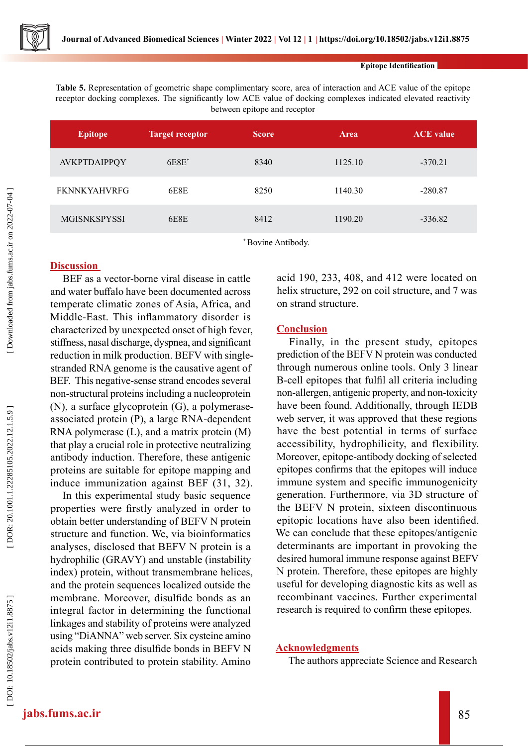**Epitope Identification**

**Table 5.** Representation of geometric shape complimentary score, area of interaction and ACE value of the epitope receptor docking complexes. The significantly low ACE value of docking complexes indicated elevated reactivity between epitope and receptor

| <b>Epitope</b>      | <b>Target receptor</b> | <b>Score</b> | <b>Area</b> | <b>ACE</b> value |
|---------------------|------------------------|--------------|-------------|------------------|
| AVKPTDAIPPQY        | $6E8E^*$               | 8340         | 1125.10     | $-370.21$        |
| <b>FKNNKYAHVRFG</b> | 6E8E                   | 8250         | 1140.30     | $-280.87$        |
| <b>MGISNKSPYSSI</b> | 6E8E                   | 8412         | 1190.20     | $-336.82$        |

\* Bovine Antibody.

## **Discussion**

BEF as a vector-borne viral disease in cattle and water buffalo have been documented across temperate climatic zones of Asia, Africa, and Middle-East. This inflammatory disorder is characterized by unexpected onset of high fever, stiffness, nasal discharge, dyspnea, and significant reduction in milk production. BEFV with singlestranded RNA genome is the causative agent of BEF. This negative-sense strand encodes several non-structural proteins including a nucleoprotein (N), a surface glycoprotein (G), a polymeraseassociated protein (P), a large RNA-dependent RNA polymerase (L), and a matrix protein (M) that play a crucial role in protective neutralizing antibody induction. Therefore, these antigenic proteins are suitable for epitope mapping and induce immunization against BEF (31, 32).

In this experimental study basic sequence properties were firstly analyzed in order to obtain better understanding of BEFV N protein structure and function. We, via bioinformatics analyses, disclosed that BEFV N protein is a hydrophilic (GRAVY) and unstable (instability index) protein, without transmembrane helices, and the protein sequences localized outside the membrane. Moreover, disulfide bonds as an integral factor in determining the functional linkages and stability of proteins were analyzed using "DiANNA" web server. Six cysteine amino acids making three disulfide bonds in BEFV N protein contributed to protein stability. Amino

acid 190, 233, 408, and 412 were located on helix structure, 292 on coil structure, and 7 was on strand structure.

### **Conclusion**

Finally, in the present study, epitopes prediction of the BEFV N protein was conducted through numerous online tools. Only 3 linear B-cell epitopes that fulfil all criteria including non-allergen, antigenic property, and non-toxicity have been found. Additionally, through IEDB web server, it was approved that these regions have the best potential in terms of surface accessibility, hydrophilicity, and flexibility. Moreover, epitope-antibody docking of selected epitopes confirms that the epitopes will induce immune system and specific immunogenicity generation. Furthermore, via 3D structure of the BEFV N protein, sixteen discontinuous epitopic locations have also been identified. We can conclude that these epitopes/antigenic determinants are important in provoking the desired humoral immune response against BEFV N protein. Therefore, these epitopes are highly useful for developing diagnostic kits as well as recombinant vaccines. Further experimental research is required to confirm these epitopes.

#### **Acknowledgments**

The authors appreciate Science and Research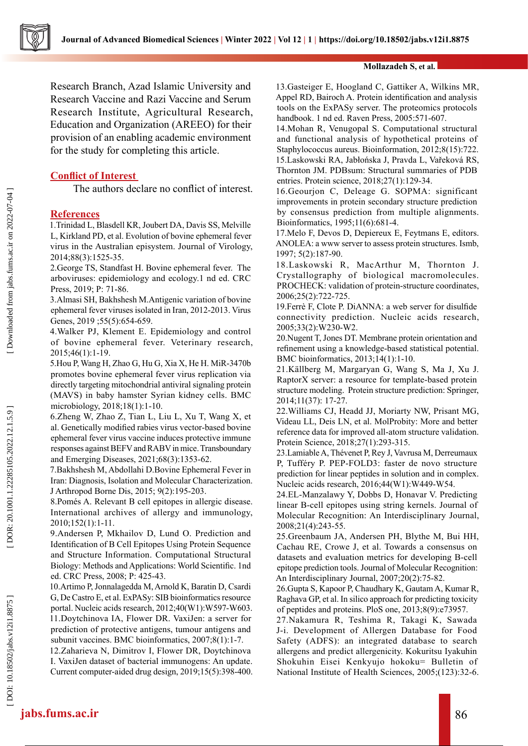

Research Branch, Azad Islamic University and Research Vaccine and Razi Vaccine and Serum Research Institute, Agricultural Research, Education and Organization (AREEO) for their provision of an enabling academic environment for the study for completing this article.

## **Conflict of Interest**

The authors declare no conflict of interest.

#### **References**

1.Trinidad L, Blasdell KR, Joubert DA, Davis SS, Melville L, Kirkland PD, et al. Evolution of bovine ephemeral fever virus in the Australian episystem. Journal of Virology, 2014;88(3):1525-35.

2.George TS, Standfast H. Bovine ephemeral fever. The arboviruses: epidemiology and ecology.1 nd ed. CRC Press, 2019; P: 71-86.

3.Almasi SH, Bakhshesh M.Antigenic variation of bovine ephemeral fever viruses isolated in Iran, 2012-2013. Virus Genes, 2019 ;55(5):654-659.

4.Walker PJ, Klement E. Epidemiology and control of bovine ephemeral fever. Veterinary research, 2015;46(1):1-19.

5.Hou P, Wang H, Zhao G, Hu G, Xia X, He H. MiR-3470b promotes bovine ephemeral fever virus replication via directly targeting mitochondrial antiviral signaling protein (MAVS) in baby hamster Syrian kidney cells. BMC microbiology, 2018;18(1):1-10.

6.Zheng W, Zhao Z, Tian L, Liu L, Xu T, Wang X, et al. Genetically modified rabies virus vector‐based bovine ephemeral fever virus vaccine induces protective immune responses against BEFV and RABV in mice. Transboundary and Emerging Diseases, 2021;68(3):1353-62.

7.Bakhshesh M, Abdollahi D.Bovine Ephemeral Fever in Iran: Diagnosis, Isolation and Molecular Characterization. J Arthropod Borne Dis, 2015; 9(2):195-203.

8.Pomés A. Relevant B cell epitopes in allergic disease. International archives of allergy and immunology, 2010;152(1):1-11.

9.Andersen P, Mkhailov D, Lund O. Prediction and Identification of B Cell Epitopes Using Protein Sequence and Structure Information. Computational Structural Biology: Methods and Applications: World Scientific. 1nd ed. CRC Press, 2008; P: 425-43.

10.Artimo P, Jonnalagedda M, Arnold K, Baratin D, Csardi G, De Castro E, et al. ExPASy: SIB bioinformatics resource portal. Nucleic acids research, 2012;40(W1):W597-W603. 11.Doytchinova IA, Flower DR. VaxiJen: a server for prediction of protective antigens, tumour antigens and subunit vaccines. BMC bioinformatics, 2007;8(1):1-7.

12.Zaharieva N, Dimitrov I, Flower DR, Doytchinova I. VaxiJen dataset of bacterial immunogens: An update. Current computer-aided drug design, 2019;15(5):398-400.

#### **Mollazadeh S, et al.**

13.Gasteiger E, Hoogland C, Gattiker A, Wilkins MR, Appel RD, Bairoch A. Protein identification and analysis tools on the ExPASy server. The proteomics protocols handbook. 1 nd ed. Raven Press, 2005:571-607.

14.Mohan R, Venugopal S. Computational structural and functional analysis of hypothetical proteins of Staphylococcus aureus. Bioinformation, 2012;8(15):722. 15.Laskowski RA, Jabłońska J, Pravda L, Vařeková RS, Thornton JM. PDBsum: Structural summaries of PDB entries. Protein science, 2018;27(1):129-34.

16.Geourjon C, Deleage G. SOPMA: significant improvements in protein secondary structure prediction by consensus prediction from multiple alignments. Bioinformatics, 1995;11(6):681-4.

17.Melo F, Devos D, Depiereux E, Feytmans E, editors. ANOLEA: a www server to assess protein structures. Ismb, 1997; 5(2):187-90.

18.Laskowski R, MacArthur M, Thornton J. Crystallography of biological macromolecules. PROCHECK: validation of protein-structure coordinates, 2006;25(2):722-725.

19.Ferrè F, Clote P. DiANNA: a web server for disulfide connectivity prediction. Nucleic acids research, 2005;33(2):W230-W2.

20.Nugent T, Jones DT. Membrane protein orientation and refinement using a knowledge-based statistical potential. BMC bioinformatics, 2013;14(1):1-10.

21.Källberg M, Margaryan G, Wang S, Ma J, Xu J. RaptorX server: a resource for template-based protein structure modeling. Protein structure prediction: Springer, 2014;11(37): 17-27.

22.Williams CJ, Headd JJ, Moriarty NW, Prisant MG, Videau LL, Deis LN, et al. MolProbity: More and better reference data for improved all‐atom structure validation. Protein Science, 2018;27(1):293-315.

23.Lamiable A, Thévenet P, Rey J, Vavrusa M, Derreumaux P, Tufféry P. PEP-FOLD3: faster de novo structure prediction for linear peptides in solution and in complex. Nucleic acids research, 2016;44(W1):W449-W54.

24.EL‐Manzalawy Y, Dobbs D, Honavar V. Predicting linear B‐cell epitopes using string kernels. Journal of Molecular Recognition: An Interdisciplinary Journal, 2008;21(4):243-55.

25.Greenbaum JA, Andersen PH, Blythe M, Bui HH, Cachau RE, Crowe J, et al. Towards a consensus on datasets and evaluation metrics for developing B‐cell epitope prediction tools. Journal of Molecular Recognition: An Interdisciplinary Journal, 2007;20(2):75-82.

26.Gupta S, Kapoor P, Chaudhary K, Gautam A, Kumar R, Raghava GP, et al. In silico approach for predicting toxicity of peptides and proteins. PloS one, 2013;8(9):e73957.

27.Nakamura R, Teshima R, Takagi K, Sawada J-i. Development of Allergen Database for Food Safety (ADFS): an integrated database to search allergens and predict allergenicity. Kokuritsu Iyakuhin Shokuhin Eisei Kenkyujo hokoku= Bulletin of National Institute of Health Sciences, 2005;(123):32-6.

Downloaded from jabs.fums.ac.ir on 2022-07-04